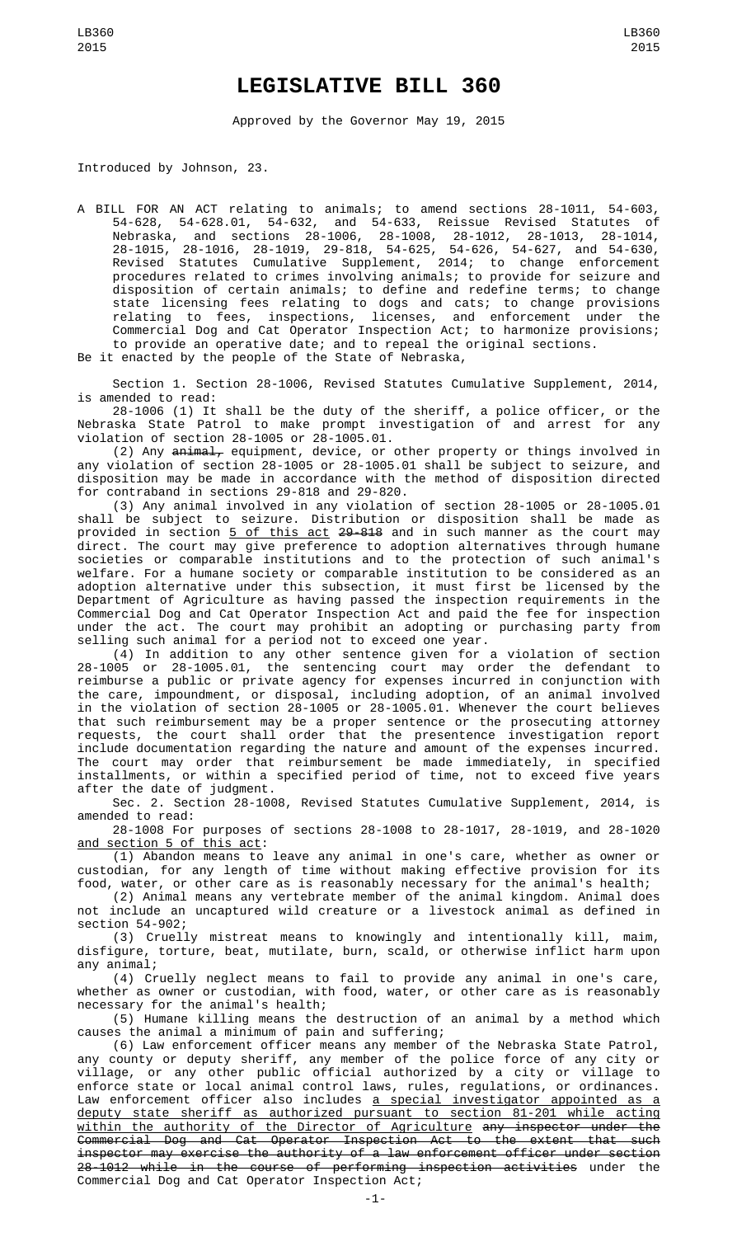## **LEGISLATIVE BILL 360**

Approved by the Governor May 19, 2015

Introduced by Johnson, 23.

A BILL FOR AN ACT relating to animals; to amend sections 28-1011, 54-603, 54-628, 54-628.01, 54-632, and 54-633, Reissue Revised Statutes of Nebraska, and sections 28-1006, 28-1008, 28-1012, 28-1013, 28-1014, 28-1015, 28-1016, 28-1019, 29-818, 54-625, 54-626, 54-627, and 54-630, Revised Statutes Cumulative Supplement, 2014; to change enforcement procedures related to crimes involving animals; to provide for seizure and disposition of certain animals; to define and redefine terms; to change state licensing fees relating to dogs and cats; to change provisions relating to fees, inspections, licenses, and enforcement under the Commercial Dog and Cat Operator Inspection Act; to harmonize provisions; to provide an operative date; and to repeal the original sections.

Be it enacted by the people of the State of Nebraska,

Section 1. Section 28-1006, Revised Statutes Cumulative Supplement, 2014, is amended to read:

28-1006 (1) It shall be the duty of the sheriff, a police officer, or the Nebraska State Patrol to make prompt investigation of and arrest for any violation of section 28-1005 or 28-1005.01.

(2) Any <del>animal,</del> equipment, device, or other property or things involved in any violation of section 28-1005 or 28-1005.01 shall be subject to seizure, and disposition may be made in accordance with the method of disposition directed for contraband in sections 29-818 and 29-820.

(3) Any animal involved in any violation of section 28-1005 or 28-1005.01 shall be subject to seizure. Distribution or disposition shall be made as provided in section <u>5 of this act</u> 2<del>9-818</del> and in such manner as the court may direct. The court may give preference to adoption alternatives through humane societies or comparable institutions and to the protection of such animal's welfare. For a humane society or comparable institution to be considered as an adoption alternative under this subsection, it must first be licensed by the Department of Agriculture as having passed the inspection requirements in the Commercial Dog and Cat Operator Inspection Act and paid the fee for inspection under the act. The court may prohibit an adopting or purchasing party from selling such animal for a period not to exceed one year.

(4) In addition to any other sentence given for a violation of section 28-1005 or 28-1005.01, the sentencing court may order the defendant to reimburse a public or private agency for expenses incurred in conjunction with the care, impoundment, or disposal, including adoption, of an animal involved in the violation of section 28-1005 or 28-1005.01. Whenever the court believes that such reimbursement may be a proper sentence or the prosecuting attorney requests, the court shall order that the presentence investigation report include documentation regarding the nature and amount of the expenses incurred. The court may order that reimbursement be made immediately, in specified installments, or within a specified period of time, not to exceed five years after the date of judgment.

Sec. 2. Section 28-1008, Revised Statutes Cumulative Supplement, 2014, is amended to read:

28-1008 For purposes of sections 28-1008 to 28-1017, 28-1019, and 28-1020 and section 5 of this act:

(1) Abandon means to leave any animal in one's care, whether as owner or custodian, for any length of time without making effective provision for its food, water, or other care as is reasonably necessary for the animal's health;

(2) Animal means any vertebrate member of the animal kingdom. Animal does not include an uncaptured wild creature or a livestock animal as defined in section 54-902;

(3) Cruelly mistreat means to knowingly and intentionally kill, maim, disfigure, torture, beat, mutilate, burn, scald, or otherwise inflict harm upon any animal;

(4) Cruelly neglect means to fail to provide any animal in one's care, whether as owner or custodian, with food, water, or other care as is reasonably necessary for the animal's health;

(5) Humane killing means the destruction of an animal by a method which  $c$ auses the animal a minimum of pain and suffering;

(6) Law enforcement officer means any member of the Nebraska State Patrol, any county or deputy sheriff, any member of the police force of any city or village, or any other public official authorized by a city or village to enforce state or local animal control laws, rules, regulations, or ordinances. Law enforcement officer also includes <u>a special investigator appointed as a</u> deputy state sheriff as authorized pursuant to section 81-201 while acting within the authority of the Director of Agriculture any inspector under the Commercial Dog and Cat Operator Inspection Act to the extent that such inspector may exercise the authority of a law enforcement officer under section 28-1012 while in the course of performing inspection activities under the Commercial Dog and Cat Operator Inspection Act;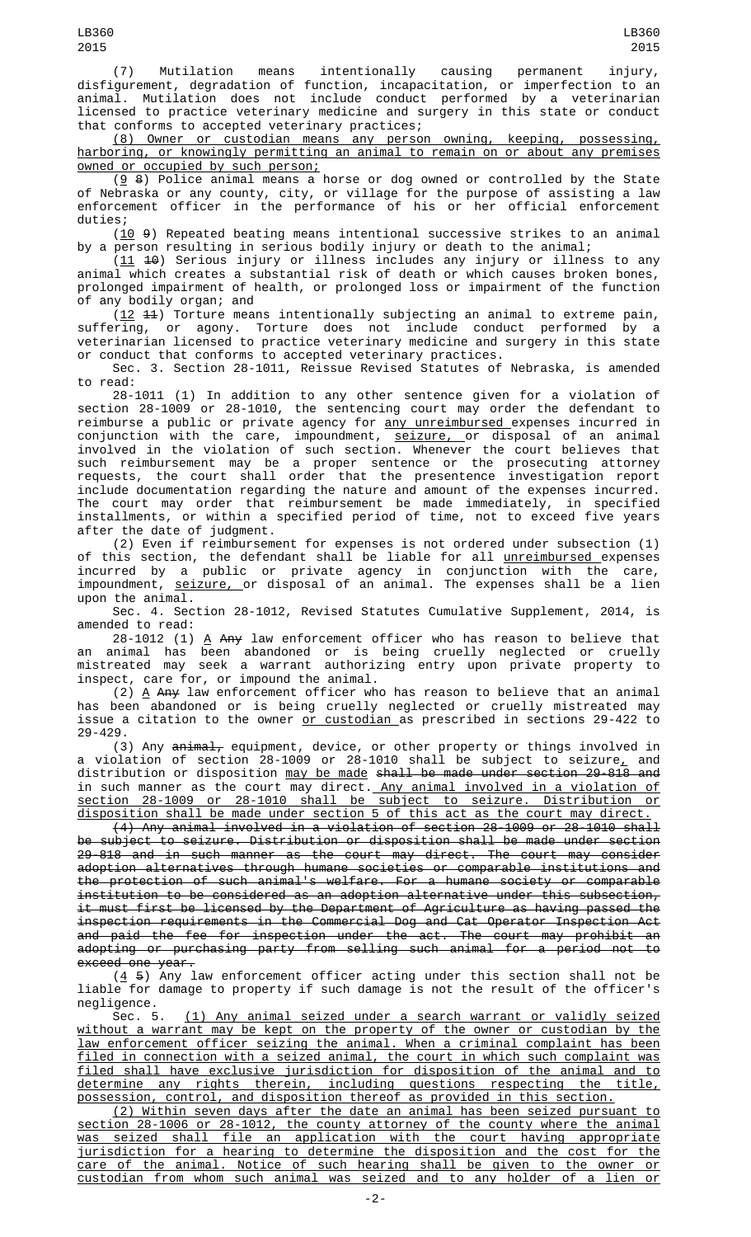(7) Mutilation means intentionally causing permanent injury, disfigurement, degradation of function, incapacitation, or imperfection to an animal. Mutilation does not include conduct performed by a veterinarian licensed to practice veterinary medicine and surgery in this state or conduct that conforms to accepted veterinary practices;

(8) Owner or custodian means any person owning, keeping, possessing, harboring, or knowingly permitting an animal to remain on or about any premises owned or occupied by such person;

 $(g, 8)$  Police animal means a horse or dog owned or controlled by the State of Nebraska or any county, city, or village for the purpose of assisting a law enforcement officer in the performance of his or her official enforcement duties;

(10 9) Repeated beating means intentional successive strikes to an animal by a person resulting in serious bodily injury or death to the animal;

 $(11 \t 10)$  Serious injury or illness includes any injury or illness to any animal which creates a substantial risk of death or which causes broken bones, prolonged impairment of health, or prolonged loss or impairment of the function of any bodily organ; and

 $(12 \t 11)$  Torture means intentionally subjecting an animal to extreme pain, suffering, or agony. Torture does not include conduct performed by a veterinarian licensed to practice veterinary medicine and surgery in this state or conduct that conforms to accepted veterinary practices.

Sec. 3. Section 28-1011, Reissue Revised Statutes of Nebraska, is amended to read:

28-1011 (1) In addition to any other sentence given for a violation of section 28-1009 or 28-1010, the sentencing court may order the defendant to reimburse a public or private agency for <u>any unreimbursed e</u>xpenses incurred in conjunction with the care, impoundment, <u>seizure, o</u>r disposal of an animal involved in the violation of such section. Whenever the court believes that such reimbursement may be a proper sentence or the prosecuting attorney requests, the court shall order that the presentence investigation report include documentation regarding the nature and amount of the expenses incurred. The court may order that reimbursement be made immediately, in specified installments, or within a specified period of time, not to exceed five years after the date of judgment.

(2) Even if reimbursement for expenses is not ordered under subsection (1) of this section, the defendant shall be liable for all <u>unreimbursed </u>expenses incurred by a public or private agency in conjunction with the care, impoundment, <u>seizure, or disposal of an animal. The expenses shall be a lien</u> upon the animal.

Sec. 4. Section 28-1012, Revised Statutes Cumulative Supplement, 2014, is amended to read:

28-1012 (1)  $\Delta$  A<del>ny</del> law enforcement officer who has reason to believe that an animal has been abandoned or is being cruelly neglected or cruelly mistreated may seek a warrant authorizing entry upon private property to inspect, care for, or impound the animal.

 $(2)$   $\triangle$  A<del>ny</del> law enforcement officer who has reason to believe that an animal has been abandoned or is being cruelly neglected or cruelly mistreated may issue a citation to the owner or custodian as prescribed in sections 29-422 to 29-429.

(3) Any animal, equipment, device, or other property or things involved in a violation of section 28-1009 or 28-1010 shall be subject to seizure $_{\scriptscriptstyle\! L}$  and distribution or disposition <u>may be made</u> s<del>hall be made under section 29-818 and</del> in such manner as the court may direct. Any animal involved in a violation of section 28-1009 or 28-1010 shall be subject to seizure. Distribution or disposition shall be made under section 5 of this act as the court may direct.

(4) Any animal involved in a violation of section 28-1009 or 28-1010 shall be subject to seizure. Distribution or disposition shall be made under section 29-818 and in such manner as the court may direct. The court may consider adoption alternatives through humane societies or comparable institutions and the protection of such animal's welfare. For a humane society or comparable institution to be considered as an adoption alternative under this subsection, it must first be licensed by the Department of Agriculture as having passed the inspection requirements in the Commercial Dog and Cat Operator Inspection Act and paid the fee for inspection under the act. The court may prohibit an adopting or purchasing party from selling such animal for a period not to exceed one year.

 $(4, 5)$  Any law enforcement officer acting under this section shall not be liable for damage to property if such damage is not the result of the officer's negligence.

Sec. 5. (1) Any animal seized under a search warrant or validly seized without a warrant may be kept on the property of the owner or custodian by the law enforcement officer seizing the animal. When a criminal complaint has been filed in connection with a seized animal, the court in which such complaint was filed shall have exclusive jurisdiction for disposition of the animal and to determine any rights therein, including questions respecting the title, possession, control, and disposition thereof as provided in this section.

(2) Within seven days after the date an animal has been seized pursuant to section 28-1006 or 28-1012, the county attorney of the county where the animal was seized shall file an application with the court having appropriate jurisdiction for a hearing to determine the disposition and the cost for the care of the animal. Notice of such hearing shall be given to the owner or custodian from whom such animal was seized and to any holder of a lien or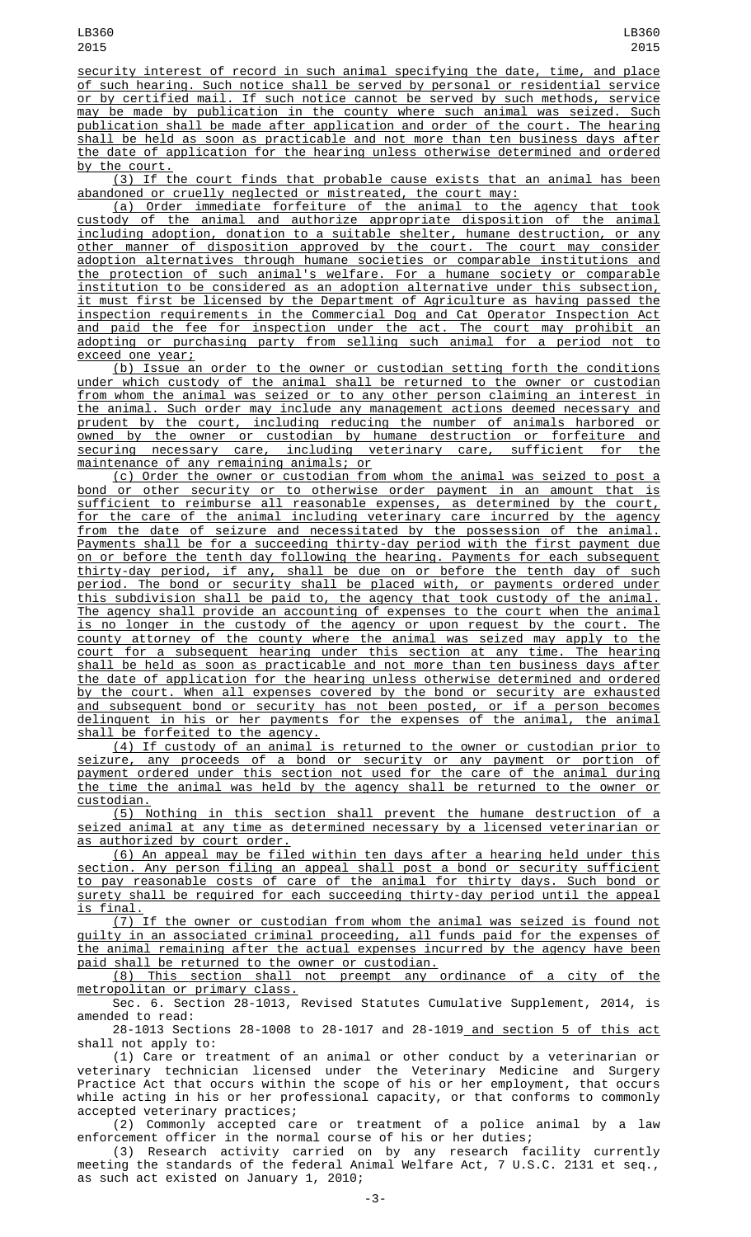security interest of record in such animal specifying the date, time, and place of such hearing. Such notice shall be served by personal or residential service or by certified mail. If such notice cannot be served by such methods, service may be made by publication in the county where such animal was seized. Such publication shall be made after application and order of the court. The hearing shall be held as soon as practicable and not more than ten business days after the date of application for the hearing unless otherwise determined and ordered by the court.

(3) If the court finds that probable cause exists that an animal has been abandoned or cruelly neglected or mistreated, the court may:

(a) Order immediate forfeiture of the animal to the agency that took custody of the animal and authorize appropriate disposition of the animal including adoption, donation to a suitable shelter, humane destruction, or any other manner of disposition approved by the court. The court may consider adoption alternatives through humane societies or comparable institutions and the protection of such animal's welfare. For a humane society or comparable institution to be considered as an adoption alternative under this subsection, it must first be licensed by the Department of Agriculture as having passed the inspection requirements in the Commercial Dog and Cat Operator Inspection Act and paid the fee for inspection under the act. The court may prohibit an adopting or purchasing party from selling such animal for a period not to exceed one year;

(b) Issue an order to the owner or custodian setting forth the conditions under which custody of the animal shall be returned to the owner or custodian from whom the animal was seized or to any other person claiming an interest in the animal. Such order may include any management actions deemed necessary and prudent by the court, including reducing the number of animals harbored or owned by the owner or custodian by humane destruction or forfeiture and securing necessary care, including veterinary care, sufficient for the maintenance of any remaining animals; or

(c) Order the owner or custodian from whom the animal was seized to post a bond or other security or to otherwise order payment in an amount that is sufficient to reimburse all reasonable expenses, as determined by the court, for the care of the animal including veterinary care incurred by the agency from the date of seizure and necessitated by the possession of the animal. Payments shall be for a succeeding thirty-day period with the first payment due on or before the tenth day following the hearing. Payments for each subsequent thirty-day period, if any, shall be due on or before the tenth day of such period. The bond or security shall be placed with, or payments ordered under this subdivision shall be paid to, the agency that took custody of the animal. The agency shall provide an accounting of expenses to the court when the animal is no longer in the custody of the agency or upon request by the court. The county attorney of the county where the animal was seized may apply to the court for a subsequent hearing under this section at any time. The hearing shall be held as soon as practicable and not more than ten business days after the date of application for the hearing unless otherwise determined and ordered by the court. When all expenses covered by the bond or security are exhausted and subsequent bond or security has not been posted, or if a person becomes delinquent in his or her payments for the expenses of the animal, the animal shall be forfeited to the agency.

(4) If custody of an animal is returned to the owner or custodian prior to seizure, any proceeds of a bond or security or any payment or portion of payment ordered under this section not used for the care of the animal during the time the animal was held by the agency shall be returned to the owner or custodian.

(5) Nothing in this section shall prevent the humane destruction of a seized animal at any time as determined necessary by a licensed veterinarian or as authorized by court order.

(6) An appeal may be filed within ten days after a hearing held under this section. Any person filing an appeal shall post a bond or security sufficient to pay reasonable costs of care of the animal for thirty days. Such bond or surety shall be required for each succeeding thirty-day period until the appeal is final.

(7) If the owner or custodian from whom the animal was seized is found not guilty in an associated criminal proceeding, all funds paid for the expenses of the animal remaining after the actual expenses incurred by the agency have been paid shall be returned to the owner or custodian.

(8) This section shall not preempt any ordinance of a city of the metropolitan or primary class.

Sec. 6. Section 28-1013, Revised Statutes Cumulative Supplement, 2014, is amended to read:

28-1013 Sections 28-1008 to 28-1017 and 28-1019 and section 5 of this act shall not apply to:

(1) Care or treatment of an animal or other conduct by a veterinarian or veterinary technician licensed under the Veterinary Medicine and Surgery Practice Act that occurs within the scope of his or her employment, that occurs while acting in his or her professional capacity, or that conforms to commonly accepted veterinary practices;

(2) Commonly accepted care or treatment of a police animal by a law enforcement officer in the normal course of his or her duties;

(3) Research activity carried on by any research facility currently meeting the standards of the federal Animal Welfare Act, 7 U.S.C. 2131 et seq., as such act existed on January 1, 2010;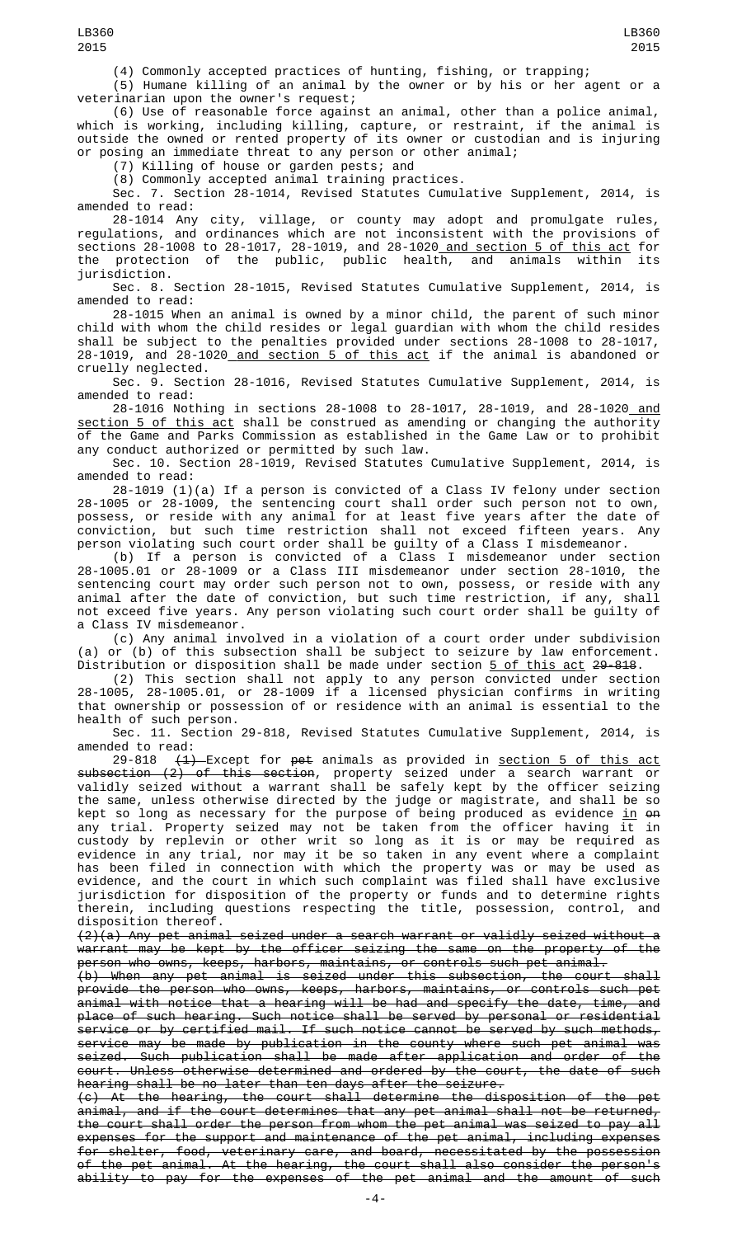(4) Commonly accepted practices of hunting, fishing, or trapping;

(5) Humane killing of an animal by the owner or by his or her agent or a veterinarian upon the owner's request;

(6) Use of reasonable force against an animal, other than a police animal, which is working, including killing, capture, or restraint, if the animal is outside the owned or rented property of its owner or custodian and is injuring or posing an immediate threat to any person or other animal;

(7) Killing of house or garden pests; and

(8) Commonly accepted animal training practices.

Sec. 7. Section 28-1014, Revised Statutes Cumulative Supplement, 2014, is amended to read:

28-1014 Any city, village, or county may adopt and promulgate rules, regulations, and ordinances which are not inconsistent with the provisions of sections 28-1008 to 28-1017, 28-1019, and 28-1020 and section 5 of this act for the protection of the public, public health, and animals within its jurisdiction.

Sec. 8. Section 28-1015, Revised Statutes Cumulative Supplement, 2014, is amended to read:

28-1015 When an animal is owned by a minor child, the parent of such minor child with whom the child resides or legal guardian with whom the child resides shall be subject to the penalties provided under sections 28-1008 to 28-1017, 28-1019, and 28-1020 and section 5 of this act if the animal is abandoned or cruelly neglected.

Sec. 9. Section 28-1016, Revised Statutes Cumulative Supplement, 2014, is amended to read:

28-1016 Nothing in sections 28-1008 to 28-1017, 28-1019, and 28-1020<u> and</u> section 5 of this act shall be construed as amending or changing the authority of the Game and Parks Commission as established in the Game Law or to prohibit any conduct authorized or permitted by such law.

Sec. 10. Section 28-1019, Revised Statutes Cumulative Supplement, 2014, is amended to read:

28-1019 (1)(a) If a person is convicted of a Class IV felony under section 28-1005 or 28-1009, the sentencing court shall order such person not to own, possess, or reside with any animal for at least five years after the date of conviction, but such time restriction shall not exceed fifteen years. Any person violating such court order shall be guilty of a Class I misdemeanor.

(b) If a person is convicted of a Class I misdemeanor under section 28-1005.01 or 28-1009 or a Class III misdemeanor under section 28-1010, the sentencing court may order such person not to own, possess, or reside with any animal after the date of conviction, but such time restriction, if any, shall not exceed five years. Any person violating such court order shall be guilty of a Class IV misdemeanor.

(c) Any animal involved in a violation of a court order under subdivision (a) or (b) of this subsection shall be subject to seizure by law enforcement. Distribution or disposition shall be made under section <u>5 of this act</u> <del>29-818</del>.

(2) This section shall not apply to any person convicted under section 28-1005, 28-1005.01, or 28-1009 if a licensed physician confirms in writing that ownership or possession of or residence with an animal is essential to the health of such person.

Sec. 11. Section 29-818, Revised Statutes Cumulative Supplement, 2014, is amended to read:

29-818 <del>(1) E</del>xcept for <del>pet</del> animals as provided in <u>section 5 of this act</u> subsection (2) of this section, property seized under a search warrant or validly seized without a warrant shall be safely kept by the officer seizing the same, unless otherwise directed by the judge or magistrate, and shall be so kept so long as necessary for the purpose of being produced as evidence <u>in</u> <del>on</del> any trial. Property seized may not be taken from the officer having it in custody by replevin or other writ so long as it is or may be required as evidence in any trial, nor may it be so taken in any event where a complaint has been filed in connection with which the property was or may be used as evidence, and the court in which such complaint was filed shall have exclusive jurisdiction for disposition of the property or funds and to determine rights therein, including questions respecting the title, possession, control, and disposition thereof.

(2)(a) Any pet animal seized under a search warrant or validly seized without a warrant may be kept by the officer seizing the same on the property of the person who owns, keeps, harbors, maintains, or controls such pet animal.

(b) When any pet animal is seized under this subsection, the court shall provide the person who owns, keeps, harbors, maintains, or controls such pet animal with notice that a hearing will be had and specify the date, time, and place of such hearing. Such notice shall be served by personal or residential service or by certified mail. If such notice cannot be served by such methods, service may be made by publication in the county where such pet animal was seized. Such publication shall be made after application and order of the court. Unless otherwise determined and ordered by the court, the date of such hearing shall be no later than ten days after the seizure.

(c) At the hearing, the court shall determine the disposition of the pet animal, and if the court determines that any pet animal shall not be returned, the court shall order the person from whom the pet animal was seized to pay all expenses for the support and maintenance of the pet animal, including expenses for shelter, food, veterinary care, and board, necessitated by the possession of the pet animal. At the hearing, the court shall also consider the person's ability to pay for the expenses of the pet animal and the amount of such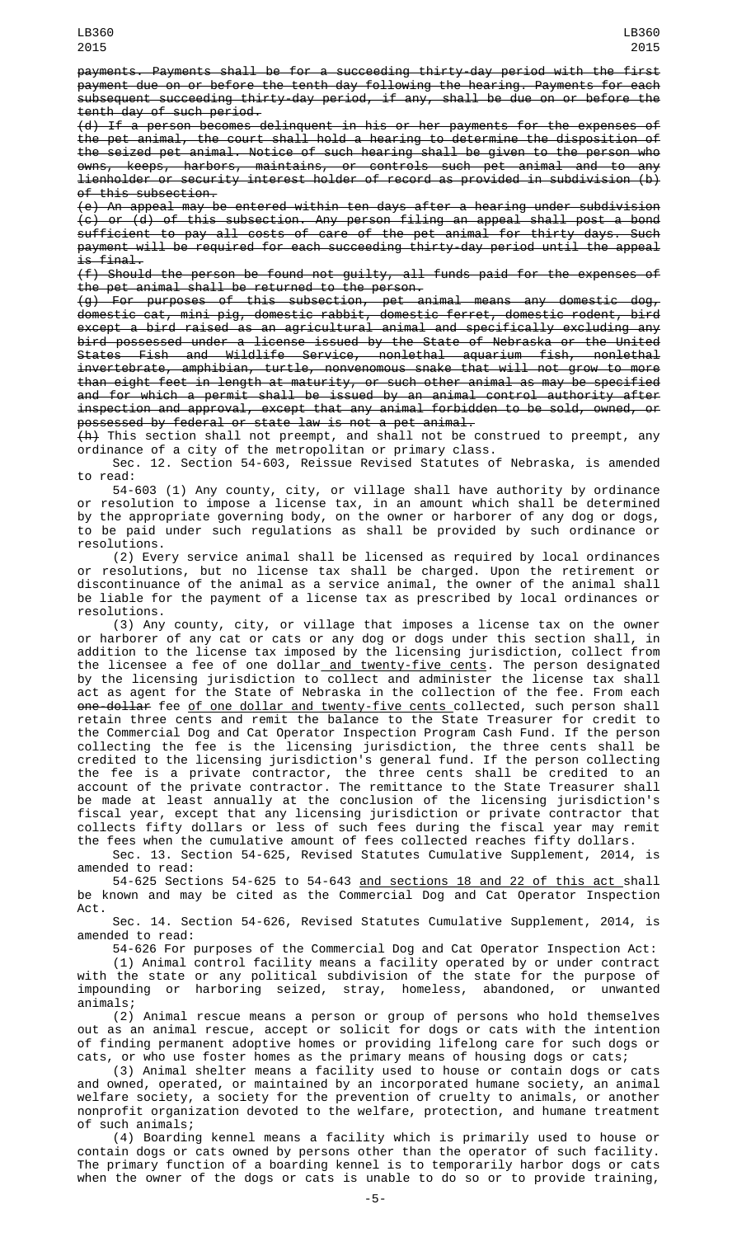payments. Payments shall be for a succeeding thirty-day period with the first payment due on or before the tenth day following the hearing. Payments for each subsequent succeeding thirty-day period, if any, shall be due on or before the tenth day of such period.

(d) If a person becomes delinquent in his or her payments for the expenses of the pet animal, the court shall hold a hearing to determine the disposition of the seized pet animal. Notice of such hearing shall be given to the person who owns, keeps, harbors, maintains, or controls such pet animal and to any lienholder or security interest holder of record as provided in subdivision (b) of this subsection.

(e) An appeal may be entered within ten days after a hearing under subdivision (c) or (d) of this subsection. Any person filing an appeal shall post a bond sufficient to pay all costs of care of the pet animal for thirty days. Such payment will be required for each succeeding thirty-day period until the appeal is final.

(f) Should the person be found not guilty, all funds paid for the expenses of the pet animal shall be returned to the person.

(g) For purposes of this subsection, pet animal means any domestic dog, domestic cat, mini pig, domestic rabbit, domestic ferret, domestic rodent, bird except a bird raised as an agricultural animal and specifically excluding any bird possessed under a license issued by the State of Nebraska or the United States Fish and Wildlife Service, nonlethal aquarium fish, nonlethal invertebrate, amphibian, turtle, nonvenomous snake that will not grow to more than eight feet in length at maturity, or such other animal as may be specified and for which a permit shall be issued by an animal control authority after inspection and approval, except that any animal forbidden to be sold, owned, or possessed by federal or state law is not a pet animal.

 $\left\{ \textsf{A} \right\}$  This section shall not preempt, and shall not be construed to preempt, any ordinance of a city of the metropolitan or primary class.

Sec. 12. Section 54-603, Reissue Revised Statutes of Nebraska, is amended to read:

54-603 (1) Any county, city, or village shall have authority by ordinance or resolution to impose a license tax, in an amount which shall be determined by the appropriate governing body, on the owner or harborer of any dog or dogs, to be paid under such regulations as shall be provided by such ordinance or resolutions.

(2) Every service animal shall be licensed as required by local ordinances or resolutions, but no license tax shall be charged. Upon the retirement or discontinuance of the animal as a service animal, the owner of the animal shall be liable for the payment of a license tax as prescribed by local ordinances or resolutions.

(3) Any county, city, or village that imposes a license tax on the owner or harborer of any cat or cats or any dog or dogs under this section shall, in addition to the license tax imposed by the licensing jurisdiction, collect from the licensee a fee of one dollar<u> and twenty-five cents</u>. The person designated by the licensing jurisdiction to collect and administer the license tax shall act as agent for the State of Nebraska in the collection of the fee. From each <del>one-dollar</del> fee <u>of one dollar and twenty-five cents </u>collected, such person shall retain three cents and remit the balance to the State Treasurer for credit to the Commercial Dog and Cat Operator Inspection Program Cash Fund. If the person collecting the fee is the licensing jurisdiction, the three cents shall be credited to the licensing jurisdiction's general fund. If the person collecting the fee is a private contractor, the three cents shall be credited to an account of the private contractor. The remittance to the State Treasurer shall be made at least annually at the conclusion of the licensing jurisdiction's fiscal year, except that any licensing jurisdiction or private contractor that collects fifty dollars or less of such fees during the fiscal year may remit the fees when the cumulative amount of fees collected reaches fifty dollars.

Sec. 13. Section 54-625, Revised Statutes Cumulative Supplement, 2014, is amended to read:

54-625 Sections 54-625 to 54-643 <u>and sections 18 and 22 of this act shall</u> be known and may be cited as the Commercial Dog and Cat Operator Inspection Act.

Sec. 14. Section 54-626, Revised Statutes Cumulative Supplement, 2014, is amended to read:

54-626 For purposes of the Commercial Dog and Cat Operator Inspection Act:

(1) Animal control facility means a facility operated by or under contract with the state or any political subdivision of the state for the purpose of impounding or harboring seized, stray, homeless, abandoned, or unwanted animals;

(2) Animal rescue means a person or group of persons who hold themselves out as an animal rescue, accept or solicit for dogs or cats with the intention of finding permanent adoptive homes or providing lifelong care for such dogs or cats, or who use foster homes as the primary means of housing dogs or cats;

(3) Animal shelter means a facility used to house or contain dogs or cats and owned, operated, or maintained by an incorporated humane society, an animal welfare society, a society for the prevention of cruelty to animals, or another nonprofit organization devoted to the welfare, protection, and humane treatment of such animals;

(4) Boarding kennel means a facility which is primarily used to house or contain dogs or cats owned by persons other than the operator of such facility. The primary function of a boarding kennel is to temporarily harbor dogs or cats when the owner of the dogs or cats is unable to do so or to provide training,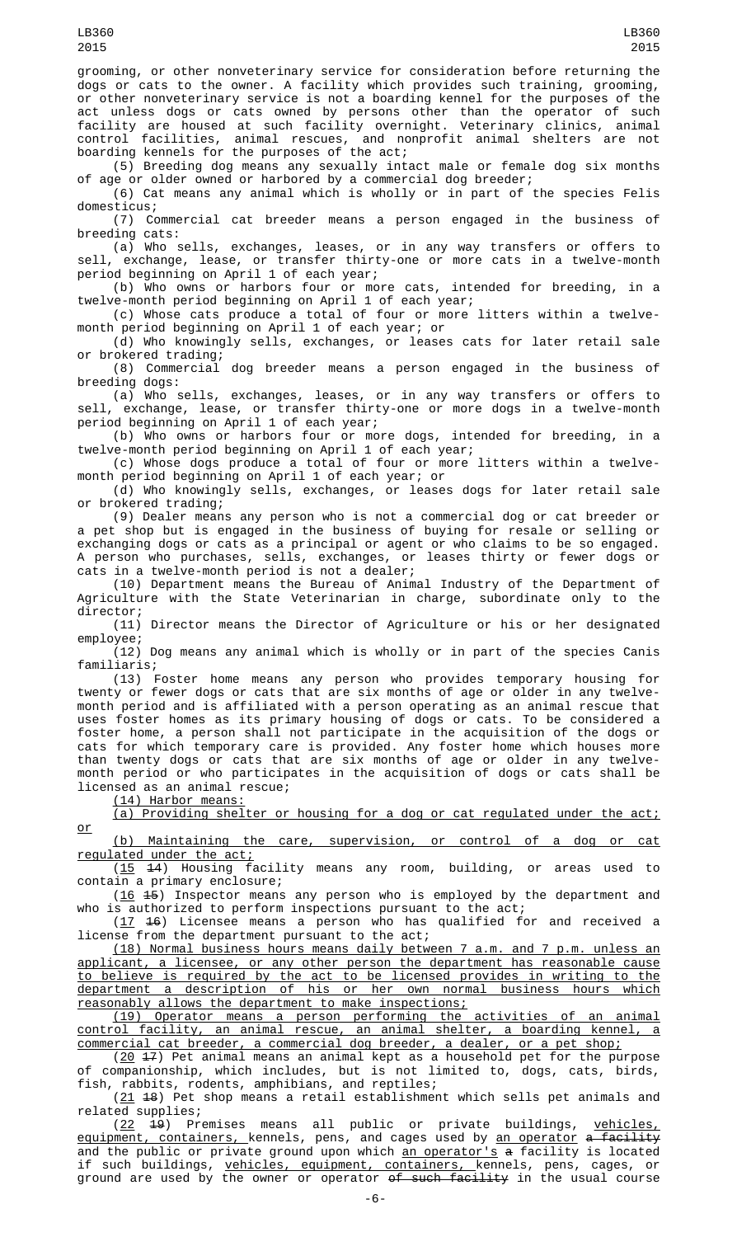grooming, or other nonveterinary service for consideration before returning the dogs or cats to the owner. A facility which provides such training, grooming, or other nonveterinary service is not a boarding kennel for the purposes of the act unless dogs or cats owned by persons other than the operator of such facility are housed at such facility overnight. Veterinary clinics, animal control facilities, animal rescues, and nonprofit animal shelters are not boarding kennels for the purposes of the act;

(5) Breeding dog means any sexually intact male or female dog six months of age or older owned or harbored by a commercial dog breeder;

(6) Cat means any animal which is wholly or in part of the species Felis domesticus;

(7) Commercial cat breeder means a person engaged in the business of breeding cats:

(a) Who sells, exchanges, leases, or in any way transfers or offers to sell, exchange, lease, or transfer thirty-one or more cats in a twelve-month period beginning on April 1 of each year;

(b) Who owns or harbors four or more cats, intended for breeding, in a twelve-month period beginning on April 1 of each year;

(c) Whose cats produce a total of four or more litters within a twelvemonth period beginning on April 1 of each year; or

(d) Who knowingly sells, exchanges, or leases cats for later retail sale or brokered trading;

(8) Commercial dog breeder means a person engaged in the business of breeding dogs:

(a) Who sells, exchanges, leases, or in any way transfers or offers to sell, exchange, lease, or transfer thirty-one or more dogs in a twelve-month period beginning on April 1 of each year;

(b) Who owns or harbors four or more dogs, intended for breeding, in a twelve-month period beginning on April 1 of each year;

(c) Whose dogs produce a total of four or more litters within a twelvemonth period beginning on April 1 of each year; or

(d) Who knowingly sells, exchanges, or leases dogs for later retail sale or brokered trading;

(9) Dealer means any person who is not a commercial dog or cat breeder or a pet shop but is engaged in the business of buying for resale or selling or exchanging dogs or cats as a principal or agent or who claims to be so engaged. A person who purchases, sells, exchanges, or leases thirty or fewer dogs or cats in a twelve-month period is not a dealer;

(10) Department means the Bureau of Animal Industry of the Department of Agriculture with the State Veterinarian in charge, subordinate only to the director;

(11) Director means the Director of Agriculture or his or her designated employee;

(12) Dog means any animal which is wholly or in part of the species Canis familiaris;

(13) Foster home means any person who provides temporary housing for twenty or fewer dogs or cats that are six months of age or older in any twelvemonth period and is affiliated with a person operating as an animal rescue that uses foster homes as its primary housing of dogs or cats. To be considered a foster home, a person shall not participate in the acquisition of the dogs or cats for which temporary care is provided. Any foster home which houses more than twenty dogs or cats that are six months of age or older in any twelvemonth period or who participates in the acquisition of dogs or cats shall be licensed as an animal rescue;

(14) Harbor means:

or

(a) Providing shelter or housing for a dog or cat regulated under the act;

(b) Maintaining the care, supervision, or control of a dog or cat regulated under the act;

(15 14) Housing facility means any room, building, or areas used to contain a primary enclosure;

(16 45) Inspector means any person who is employed by the department and who is authorized to perform inspections pursuant to the act;

(17 16) Licensee means a person who has qualified for and received a license from the department pursuant to the act;

(18) Normal business hours means daily between 7 a.m. and 7 p.m. unless an applicant, a licensee, or any other person the department has reasonable cause to believe is required by the act to be licensed provides in writing to the department a description of his or her own normal business hours which reasonably allows the department to make inspections;

(19) Operator means a person performing the activities of an animal control facility, an animal rescue, an animal shelter, a boarding kennel, a commercial cat breeder, a commercial dog breeder, a dealer, or a pet shop;

 $(20 \t 17)$  Pet animal means an animal kept as a household pet for the purpose of companionship, which includes, but is not limited to, dogs, cats, birds, fish, rabbits, rodents, amphibians, and reptiles;

(21 18) Pet shop means a retail establishment which sells pet animals and related supplies;

(22 19) Premises means all public or private buildings, vehicles, <u>equipment, containers, </u>kennels, pens, and cages used by <u>an operator</u> <del>a facility</del> and the public or private ground upon which <u>an operator's</u> a facility is located if such buildings, <u>vehicles, equipment, containers, </u>kennels, pens, cages, or ground are used by the owner or operator <del>of such facility</del> in the usual course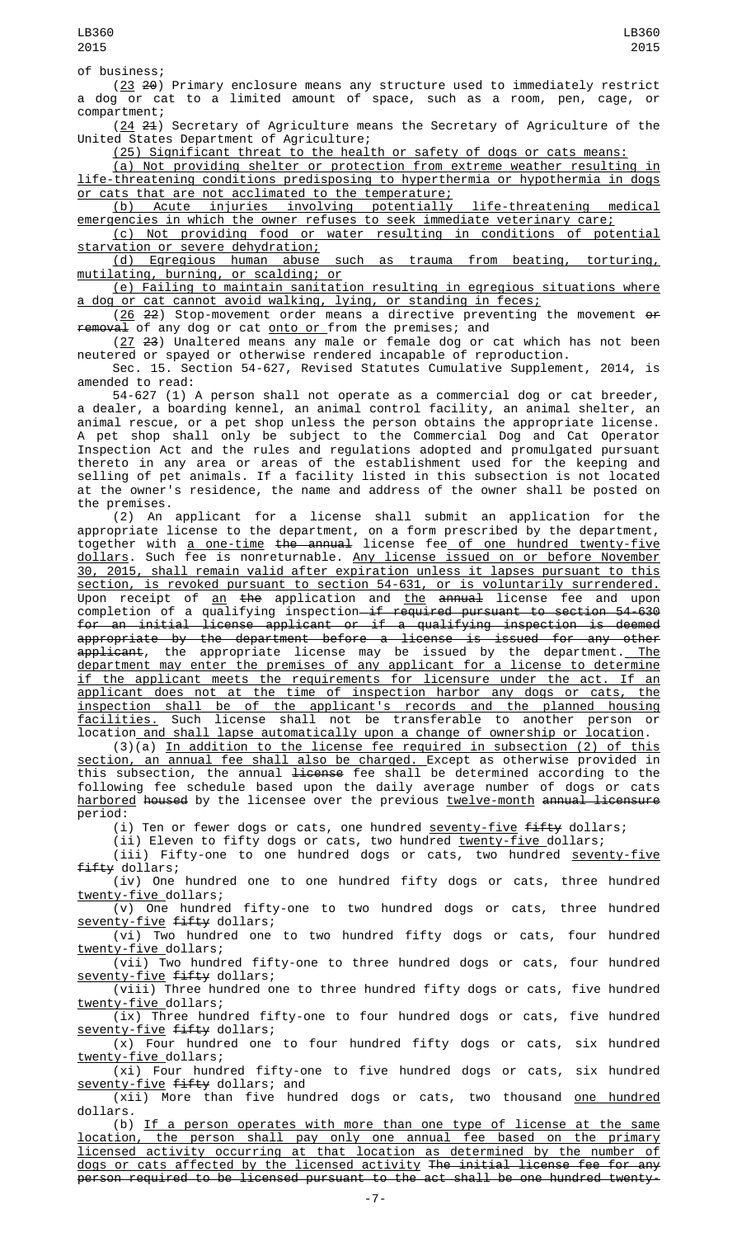of business;

(23 20) Primary enclosure means any structure used to immediately restrict a dog or cat to a limited amount of space, such as a room, pen, cage, or compartment;

 $(24, 21)$  Secretary of Agriculture means the Secretary of Agriculture of the United States Department of Agriculture;

(25) Significant threat to the health or safety of dogs or cats means:

(a) Not providing shelter or protection from extreme weather resulting in life-threatening conditions predisposing to hyperthermia or hypothermia in dogs or cats that are not acclimated to the temperature;

(b) Acute injuries involving potentially life-threatening medical emergencies in which the owner refuses to seek immediate veterinary care; (c) Not providing food or water resulting in conditions of potential

starvation or severe dehydration;

(d) Egregious human abuse such as trauma from beating, torturing, mutilating, burning, or scalding; or

(e) Failing to maintain sanitation resulting in egregious situations where a dog or cat cannot avoid walking, lying, or standing in feces;

 $(26 \t22)$  Stop-movement order means a directive preventing the movement  $\theta$ removal of any dog or cat onto or from the premises; and

(27 23) Unaltered means any male or female dog or cat which has not been neutered or spayed or otherwise rendered incapable of reproduction.

Sec. 15. Section 54-627, Revised Statutes Cumulative Supplement, 2014, is amended to read:

54-627 (1) A person shall not operate as a commercial dog or cat breeder, a dealer, a boarding kennel, an animal control facility, an animal shelter, an animal rescue, or a pet shop unless the person obtains the appropriate license. A pet shop shall only be subject to the Commercial Dog and Cat Operator Inspection Act and the rules and regulations adopted and promulgated pursuant thereto in any area or areas of the establishment used for the keeping and selling of pet animals. If a facility listed in this subsection is not located at the owner's residence, the name and address of the owner shall be posted on the premises.

(2) An applicant for a license shall submit an application for the appropriate license to the department, on a form prescribed by the department, together with <u>a one-time</u> <del>the annual</del> license fee<u> of one hundred twenty-five</u> dollars. Such fee is nonreturnable. Any license issued on or before November 30, 2015, shall remain valid after expiration unless it lapses pursuant to this section, is revoked pursuant to section 54-631, or is voluntarily surrendered. Upon receipt of <u>an</u> <del>the</del> application and <u>the</u> <del>annual</del> license fee and upon completion of a qualifying inspection<del> if required pursuant to section 54-630</del> for an initial license applicant or if a qualifying inspection is deemed appropriate by the department before a license is issued for any other <del>applicant</del>, the appropriate license may be issued by the department.<u> The</u> department may enter the premises of any applicant for a license to determine if the applicant meets the requirements for licensure under the act. If an applicant does not at the time of inspection harbor any dogs or cats, the inspection shall be of the applicant's records and the planned housing facilities. Such license shall not be transferable to another person or location and shall lapse automatically upon a change of ownership or location.

(3)(a) In addition to the license fee required in subsection (2) of this section, an annual fee shall also be charged. Except as otherwise provided in this subsection, the annual <del>license</del> fee shall be determined according to the following fee schedule based upon the daily average number of dogs or cats harbored housed by the licensee over the previous twelve-month annual licensure period:

(i) Ten or fewer dogs or cats, one hundred seventy-five fifty dollars;

(ii) Eleven to fifty dogs or cats, two hundred <u>twenty-five d</u>ollars;

(iii) Fifty-one to one hundred dogs or cats, two hundred <u>seventy-five</u> fifty dollars;

(iv) One hundred one to one hundred fifty dogs or cats, three hundred twenty-five dollars;

(v) One hundred fifty-one to two hundred dogs or cats, three hundred seventy-five fifty dollars;

(vi) Two hundred one to two hundred fifty dogs or cats, four hundred twenty-five dollars;

(vii) Two hundred fifty-one to three hundred dogs or cats, four hundred seventy-five fifty dollars;

(viii) Three hundred one to three hundred fifty dogs or cats, five hundred twenty-five dollars;

(ix) Three hundred fifty-one to four hundred dogs or cats, five hundred seventy-five fifty dollars;

(x) Four hundred one to four hundred fifty dogs or cats, six hundred twenty-five\_dollars;

(xi) Four hundred fifty-one to five hundred dogs or cats, six hundred seventy-five fifty dollars; and

 $(xii)$  More than five hundred dogs or cats, two thousand <u>one hundred</u> dollars.

(b) If a person operates with more than one type of license at the same location, the person shall pay only one annual fee based on the primary licensed activity occurring at that location as determined by the number of dogs or cats affected by the licensed activity The initial license fee for any person required to be licensed pursuant to the act shall be one hundred twenty-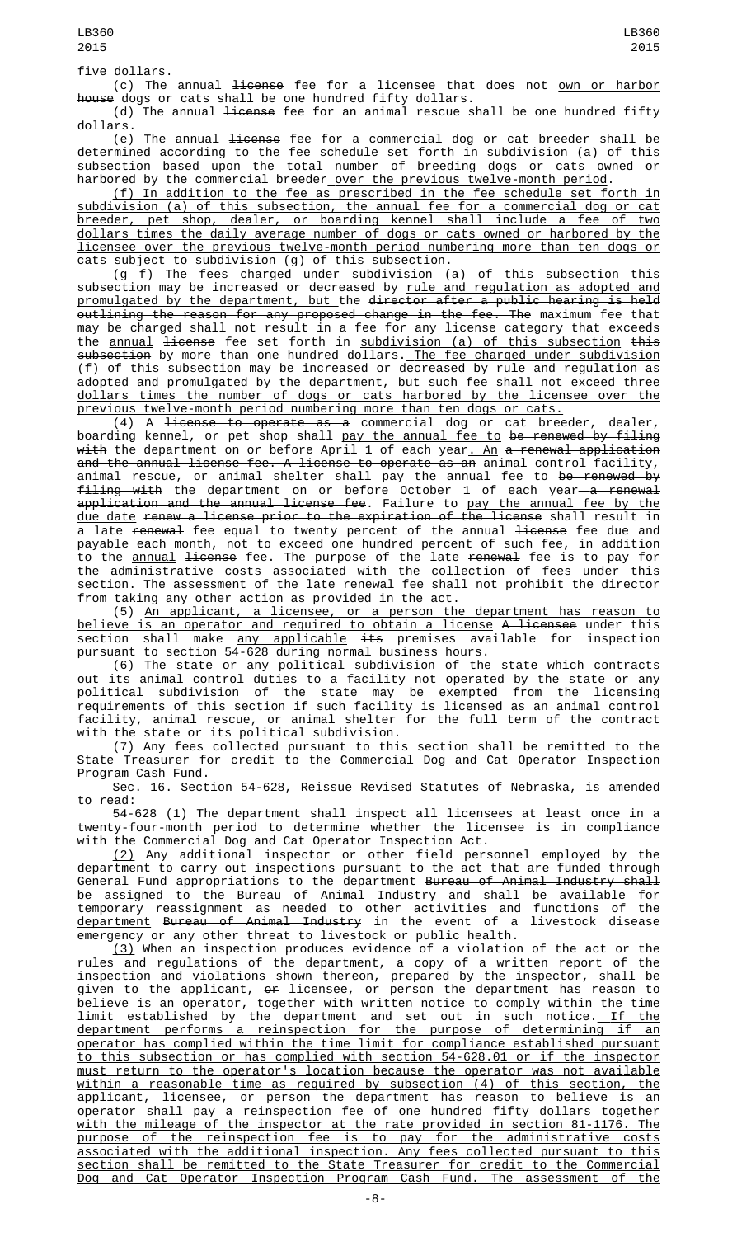(c) The annual <del>license</del> fee for a licensee that does not <u>own or harbor</u> house dogs or cats shall be one hundred fifty dollars.

(d) The annual <del>license</del> fee for an animal rescue shall be one hundred fifty dollars.

(e) The annual <del>license</del> fee for a commercial dog or cat breeder shall be determined according to the fee schedule set forth in subdivision (a) of this subsection based upon the <u>total </u>number of breeding dogs or cats owned or harbored by the commercial breeder<u> over the previous twelve-month period</u>.

(f) In addition to the fee as prescribed in the fee schedule set forth in subdivision (a) of this subsection, the annual fee for a commercial dog or cat breeder, pet shop, dealer, or boarding kennel shall include a fee of two dollars times the daily average number of dogs or cats owned or harbored by the licensee over the previous twelve-month period numbering more than ten dogs or cats subject to subdivision (g) of this subsection.

 $(g \in f)$  The fees charged under  $subdivision$  (a) of this subsection this subsection may be increased or decreased by rule and regulation as adopted and promulgated by the department, but the director after a public hearing is held outlining the reason for any proposed change in the fee. The maximum fee that may be charged shall not result in a fee for any license category that exceeds the annual license fee set forth in subdivision (a) of this subsection this subsection by more than one hundred dollars. The fee charged under subdivision (f) of this subsection may be increased or decreased by rule and regulation as adopted and promulgated by the department, but such fee shall not exceed three dollars times the number of dogs or cats harbored by the licensee over previous twelve-month period numbering more than ten dogs or cats.

(4) A license to operate as a commercial dog or cat breeder, dealer, boarding kennel, or pet shop shall <u>pay the annual fee to</u> <del>be renewed by filing</del> with the department on or before April 1 of each year. An a renewal application and the annual license fee. A license to operate as an animal control facility, animal rescue, or animal shelter shall <u>pay the annual fee to</u> <del>be renewed by</del> f<del>iling with</del> the department on or before October 1 of each year—<del>a renewal</del> a<del>pplication and the annual license fee</del>. Failure to <u>pay the annual fee by the</u> due date renew a license prior to the expiration of the license shall result in a late renewal fee equal to twenty percent of the annual license fee due and payable each month, not to exceed one hundred percent of such fee, in addition to the <u>annual</u> <del>license</del> fee. The purpose of the late <del>renewal</del> fee is to pay for the administrative costs associated with the collection of fees under this section. The assessment of the late <del>renewal</del> fee shall not prohibit the director from taking any other action as provided in the act.

(5) An applicant, a licensee, or a person the department has reason to <u>believe is an operator and required to obtain a license</u> A <del>licensee</del> under this section shall make <u>any applicable</u> <del>its</del> premises available for inspection pursuant to section 54-628 during normal business hours.

(6) The state or any political subdivision of the state which contracts out its animal control duties to a facility not operated by the state or any political subdivision of the state may be exempted from the licensing requirements of this section if such facility is licensed as an animal control facility, animal rescue, or animal shelter for the full term of the contract with the state or its political subdivision.

(7) Any fees collected pursuant to this section shall be remitted to the State Treasurer for credit to the Commercial Dog and Cat Operator Inspection Program Cash Fund.

Sec. 16. Section 54-628, Reissue Revised Statutes of Nebraska, is amended to read:

54-628 (1) The department shall inspect all licensees at least once in a twenty-four-month period to determine whether the licensee is in compliance with the Commercial Dog and Cat Operator Inspection Act.

(2) Any additional inspector or other field personnel employed by the department to carry out inspections pursuant to the act that are funded through General Fund appropriations to the <u>department</u> B<del>ureau of Animal Industry shall</del> be assigned to the Bureau of Animal Industry and shall be available for temporary reassignment as needed to other activities and functions of the department Bureau of Animal Industry in the event of a livestock disease emergency or any other threat to livestock or public health.

(3) When an inspection produces evidence of a violation of the act or the rules and regulations of the department, a copy of a written report of the inspection and violations shown thereon, prepared by the inspector, shall be given to the applicant $_{\rm {\cal L}}$  <del>or</del> licensee, <u>or person the department has reason to</u> believe is an operator, together with written notice to comply within the time limit established by the department and set out in such notice.<u> If the</u> department performs a reinspection for the purpose of determining if an operator has complied within the time limit for compliance established pursuant to this subsection or has complied with section 54-628.01 or if the inspector must return to the operator's location because the operator was not available within a reasonable time as required by subsection (4) of this section, the applicant, licensee, or person the department has reason to believe is an operator shall pay a reinspection fee of one hundred fifty dollars together with the mileage of the inspector at the rate provided in section 81-1176. The purpose of the reinspection fee is to pay for the administrative costs associated with the additional inspection. Any fees collected pursuant to this section shall be remitted to the State Treasurer for credit to the Commercial Dog and Cat Operator Inspection Program Cash Fund. The assessment of the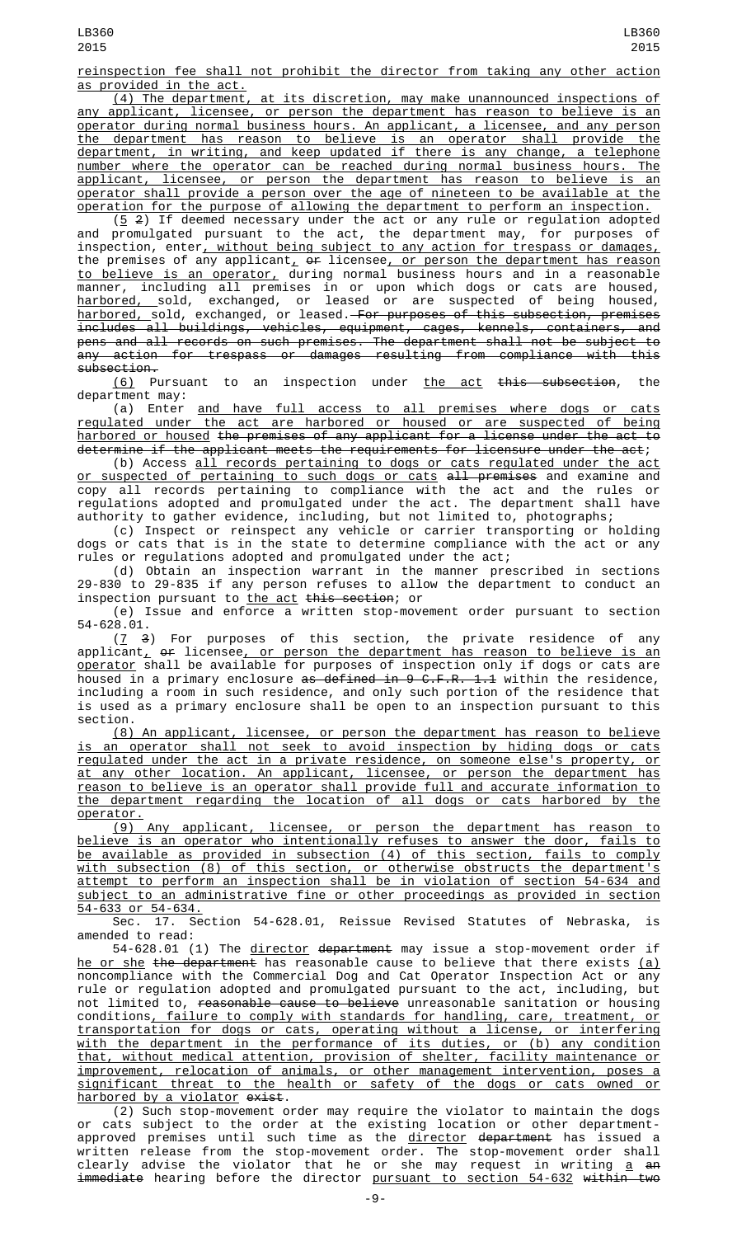reinspection fee shall not prohibit the director from taking any other action as provided in the act.

(4) The department, at its discretion, may make unannounced inspections of any applicant, licensee, or person the department has reason to believe is an operator during normal business hours. An applicant, a licensee, and any person the department has reason to believe is an operator shall provide the department, in writing, and keep updated if there is any change, a telephone number where the operator can be reached during normal business hours. The applicant, licensee, or person the department has reason to believe is an operator shall provide a person over the age of nineteen to be available at the operation for the purpose of allowing the department to perform an inspection.

 $(5, 2)$  If deemed necessary under the act or any rule or regulation adopted and promulgated pursuant to the act, the department may, for purposes of inspection, enter, without being subject to any action for trespass or damages, the premises of any applicant,  $\theta$  licensee, <u>or person the department has reason</u> to believe is an operator, during normal business hours and in a reasonable manner, including all premises in or upon which dogs or cats are housed, <u>harbored, s</u>old, exchanged, or leased or are suspected of being housed, <u>harbored, </u>sold, exchanged, or leased.—<del>For purposes of this subsection, premises</del> includes all buildings, vehicles, equipment, cages, kennels, containers, and pens and all records on such premises. The department shall not be subject to any action for trespass or damages resulting from compliance with this subsection.

(6) Pursuant to an inspection under the act this subsection, the department may:

(a) Enter and have full access to all premises where dogs or cats regulated under the act are harbored or housed or are suspected of being harbored or housed the premises of any applicant for a license under the act to determine if the applicant meets the requirements for licensure under the act;

(b) Access all records pertaining to dogs or cats regulated under the act <u>or suspected of pertaining to such dogs or cats</u> <del>all premises</del> and examine and copy all records pertaining to compliance with the act and the rules or regulations adopted and promulgated under the act. The department shall have authority to gather evidence, including, but not limited to, photographs;

(c) Inspect or reinspect any vehicle or carrier transporting or holding dogs or cats that is in the state to determine compliance with the act or any rules or regulations adopted and promulgated under the act;

(d) Obtain an inspection warrant in the manner prescribed in sections 29-830 to 29-835 if any person refuses to allow the department to conduct an inspection pursuant to <u>the act</u> <del>this section</del>; or

(e) Issue and enforce a written stop-movement order pursuant to section

 $54 - 628.01.$ <br> $(\frac{7}{9})$ For purposes of this section, the private residence of any applicant<u>,</u> <del>or</del> licensee<u>, or person the department has reason to believe is an</u> <u>operator</u> shall be available for purposes of inspection only if dogs or cats are housed in a primary enclosure <del>as defined in 9 C.F.R. 1.1</del> within the residence, including a room in such residence, and only such portion of the residence that is used as a primary enclosure shall be open to an inspection pursuant to this section.

(8) An applicant, licensee, or person the department has reason to believe is an operator shall not seek to avoid inspection by hiding dogs or cats regulated under the act in a private residence, on someone else's property, or at any other location. An applicant, licensee, or person the department has reason to believe is an operator shall provide full and accurate information to the department regarding the location of all dogs or cats harbored by the operator.

(9) Any applicant, licensee, or person the department has reason to believe is an operator who intentionally refuses to answer the door, fails to be available as provided in subsection (4) of this section, fails to comply with subsection (8) of this section, or otherwise obstructs the department's attempt to perform an inspection shall be in violation of section 54-634 and subject to an administrative fine or other proceedings as provided in section <u>54-633 or 54-634.</u><br>Sec. 17. Sec

17. Section 54-628.01, Reissue Revised Statutes of Nebraska, is amended to read:

54-628.01 (1) The director department may issue a stop-movement order if he or she the department has reasonable cause to believe that there exists (a) noncompliance with the Commercial Dog and Cat Operator Inspection Act or any rule or regulation adopted and promulgated pursuant to the act, including, but not limited to, reasonable cause to believe unreasonable sanitation or housing conditions, failure to comply with standards for handling, care, treatment, or transportation for dogs or cats, operating without a license, or interfering with the department in the performance of its duties, or (b) any condition that, without medical attention, provision of shelter, facility maintenance or improvement, relocation of animals, or other management intervention, poses a significant threat to the health or safety of the dogs or cats owned or harbored by a violator exist.

(2) Such stop-movement order may require the violator to maintain the dogs or cats subject to the order at the existing location or other departmentapproved premises until such time as the <u>director</u> <del>department</del> has issued a written release from the stop-movement order. The stop-movement order shall clearly advise the violator that he or she may request in writing <u>a</u> <del>an</del> <del>immediate</del> hearing before the director <u>pursuant to section 54-632</u> <del>within two</del>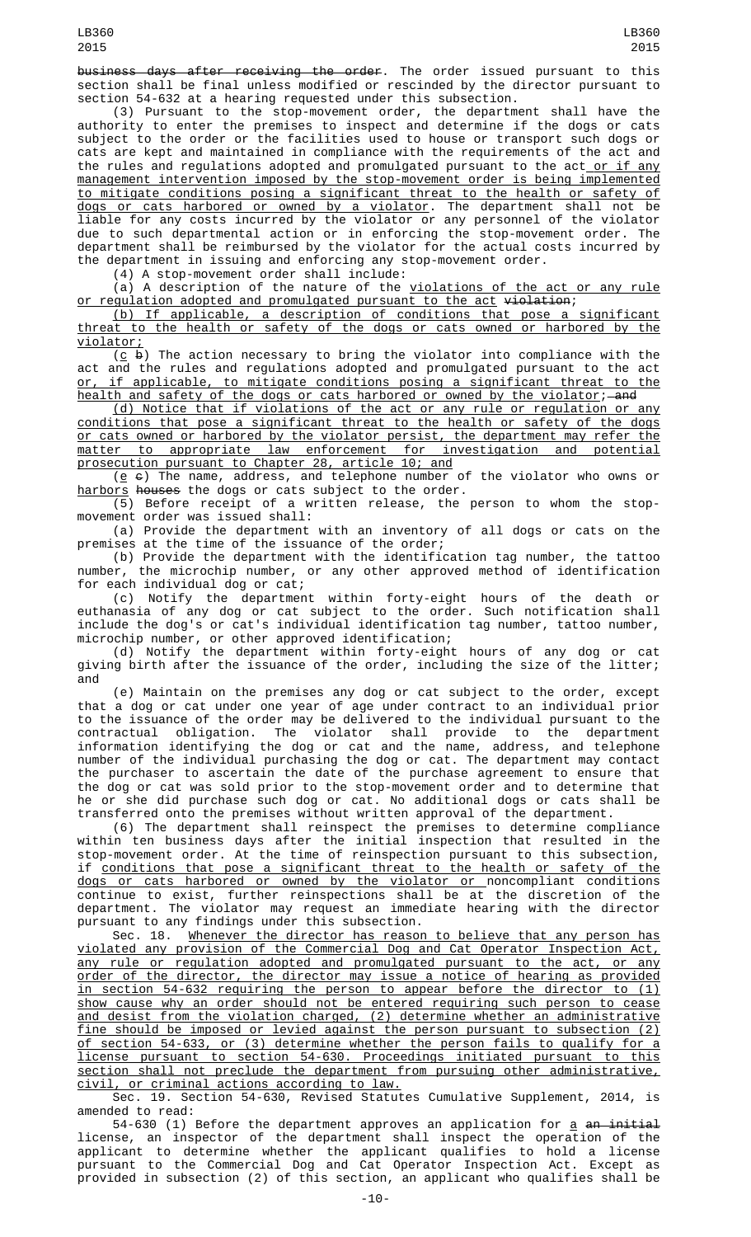business days after receiving the order. The order issued pursuant to this section shall be final unless modified or rescinded by the director pursuant to section 54-632 at a hearing requested under this subsection.

(3) Pursuant to the stop-movement order, the department shall have the authority to enter the premises to inspect and determine if the dogs or cats subject to the order or the facilities used to house or transport such dogs or cats are kept and maintained in compliance with the requirements of the act and the rules and regulations adopted and promulgated pursuant to the act<u> or if any</u> management intervention imposed by the stop-movement order is being implemented to mitigate conditions posing a significant threat to the health or safety of <u>dogs or cats harbored or owned by a violator</u>. The department shall not be liable for any costs incurred by the violator or any personnel of the violator due to such departmental action or in enforcing the stop-movement order. The department shall be reimbursed by the violator for the actual costs incurred by the department in issuing and enforcing any stop-movement order.

(4) A stop-movement order shall include:

(a) A description of the nature of the violations of the act or any rule or regulation adopted and promulgated pursuant to the act violation;

(b) If applicable, a description of conditions that pose a significant threat to the health or safety of the dogs or cats owned or harbored by the violator;

 $(c, b)$  The action necessary to bring the violator into compliance with the act and the rules and regulations adopted and promulgated pursuant to the act or, if applicable, to mitigate conditions posing a significant threat to the health and safety of the dogs or cats harbored or owned by the violator; and

(d) Notice that if violations of the act or any rule or regulation or any conditions that pose a significant threat to the health or safety of the dogs or cats owned or harbored by the violator persist, the department may refer the matter to appropriate law enforcement for investigation and potential prosecution pursuant to Chapter 28, article 10; and

( $\underline{e}$   $\in$ ) The name, address, and telephone number of the violator who owns or harbors houses the dogs or cats subject to the order.

(5) Before receipt of a written release, the person to whom the stopmovement order was issued shall:

(a) Provide the department with an inventory of all dogs or cats on the premises at the time of the issuance of the order;

(b) Provide the department with the identification tag number, the tattoo number, the microchip number, or any other approved method of identification for each individual dog or cat;

(c) Notify the department within forty-eight hours of the death or euthanasia of any dog or cat subject to the order. Such notification shall include the dog's or cat's individual identification tag number, tattoo number, microchip number, or other approved identification;

(d) Notify the department within forty-eight hours of any dog or cat giving birth after the issuance of the order, including the size of the litter; and

(e) Maintain on the premises any dog or cat subject to the order, except that a dog or cat under one year of age under contract to an individual prior to the issuance of the order may be delivered to the individual pursuant to the contractual obligation. The violator shall provide to the department information identifying the dog or cat and the name, address, and telephone number of the individual purchasing the dog or cat. The department may contact the purchaser to ascertain the date of the purchase agreement to ensure that the dog or cat was sold prior to the stop-movement order and to determine that he or she did purchase such dog or cat. No additional dogs or cats shall be transferred onto the premises without written approval of the department.

(6) The department shall reinspect the premises to determine compliance within ten business days after the initial inspection that resulted in the stop-movement order. At the time of reinspection pursuant to this subsection, if conditions that pose a significant threat to the health or safety of the dogs or cats harbored or owned by the violator or noncompliant conditions continue to exist, further reinspections shall be at the discretion of the department. The violator may request an immediate hearing with the director pursuant to any findings under this subsection.

Sec. 18. Whenever the director has reason to believe that any person has violated any provision of the Commercial Dog and Cat Operator Inspection Act, any rule or regulation adopted and promulgated pursuant to the act, or any order of the director, the director may issue a notice of hearing as provided in section 54-632 requiring the person to appear before the director to (1) show cause why an order should not be entered requiring such person to cease and desist from the violation charged, (2) determine whether an administrative fine should be imposed or levied against the person pursuant to subsection (2) of section 54-633, or (3) determine whether the person fails to qualify for a license pursuant to section 54-630. Proceedings initiated pursuant to this section shall not preclude the department from pursuing other administrative, civil, or criminal actions according to law.

Sec. 19. Section 54-630, Revised Statutes Cumulative Supplement, 2014, is amended to read:

54-630 (1) Before the department approves an application for  $\underline{a}$  an initial license, an inspector of the department shall inspect the operation of the applicant to determine whether the applicant qualifies to hold a license pursuant to the Commercial Dog and Cat Operator Inspection Act. Except as provided in subsection (2) of this section, an applicant who qualifies shall be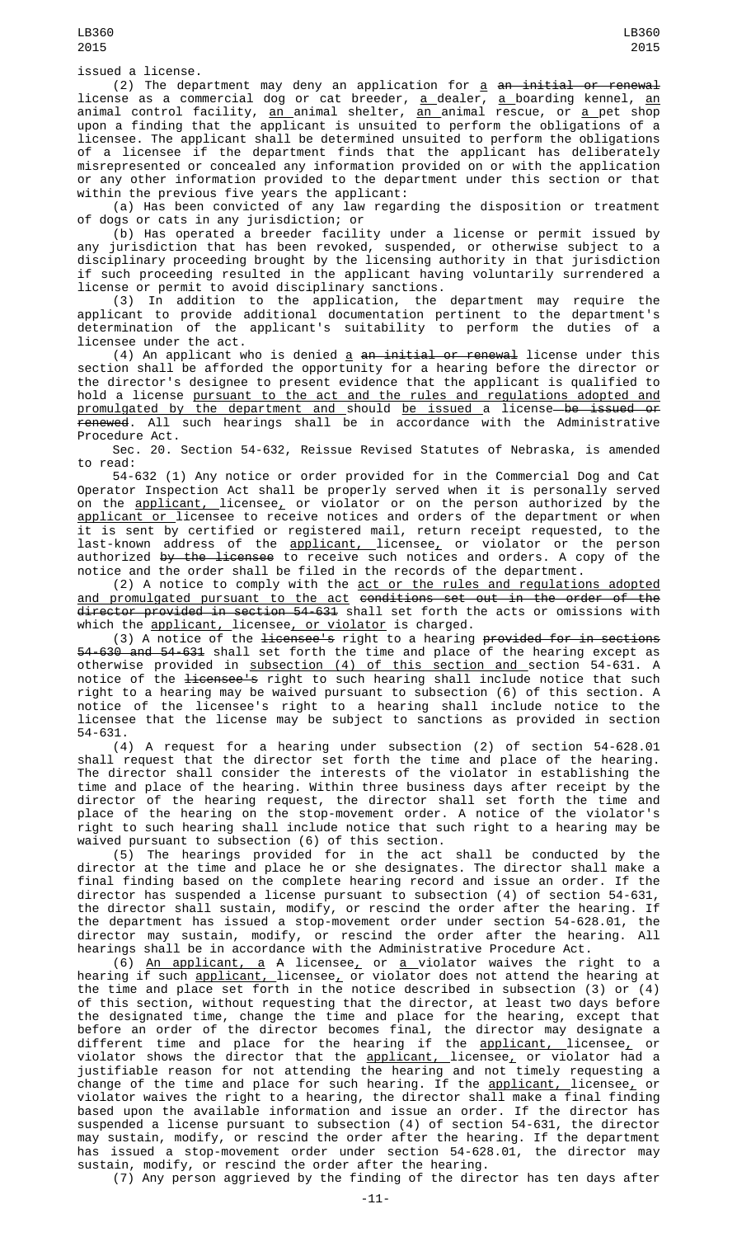issued a license.

(2) The department may deny an application for <u>a</u> <del>an initial or renewal</del> license as a commercial dog or cat breeder, <u>a </u>dealer, <u>a </u>boarding kennel, <u>an</u> animal control facility, <u>an a</u>nimal shelter, <u>an animal rescue, or a p</u>et shop upon a finding that the applicant is unsuited to perform the obligations of a licensee. The applicant shall be determined unsuited to perform the obligations of a licensee if the department finds that the applicant has deliberately misrepresented or concealed any information provided on or with the application or any other information provided to the department under this section or that within the previous five years the applicant:

(a) Has been convicted of any law regarding the disposition or treatment of dogs or cats in any jurisdiction; or

(b) Has operated a breeder facility under a license or permit issued by any jurisdiction that has been revoked, suspended, or otherwise subject to a disciplinary proceeding brought by the licensing authority in that jurisdiction if such proceeding resulted in the applicant having voluntarily surrendered a license or permit to avoid disciplinary sanctions.

(3) In addition to the application, the department may require the applicant to provide additional documentation pertinent to the department's determination of the applicant's suitability to perform the duties of a licensee under the act.

(4) An applicant who is denied a an initial or renewal license under this section shall be afforded the opportunity for a hearing before the director or the director's designee to present evidence that the applicant is qualified to hold a license pursuant to the act and the rules and regulations adopted and promulgated by the department and should be issued a license be issued or renewed. All such hearings shall be in accordance with the Administrative Procedure Act.

Sec. 20. Section 54-632, Reissue Revised Statutes of Nebraska, is amended to read:

54-632 (1) Any notice or order provided for in the Commercial Dog and Cat Operator Inspection Act shall be properly served when it is personally served on the <u>applicant, </u>licensee<u>,</u> or violator or on the person authorized by the <u>applicant or </u>licensee to receive notices and orders of the department or when it is sent by certified or registered mail, return receipt requested, to the last-known address of the <u>applicant, </u>licensee<u>,</u> or violator or the person authorized <del>by the licensee</del> to receive such notices and orders. A copy of the notice and the order shall be filed in the records of the department.

(2) A notice to comply with the act or the rules and regulations adopted and promulgated pursuant to the act conditions set out in the order of the director provided in section 54-631 shall set forth the acts or omissions with which the <u>applicant, </u>licensee<u>, or violator</u> is charged.

(3) A notice of the <del>licensee's</del> right to a hearing <del>provided for in sections</del> 54-630 and 54-631 shall set forth the time and place of the hearing except as otherwise provided in <u>subsection (4) of this section and s</u>ection 54-631. A notice of the <del>licensee's</del> right to such hearing shall include notice that such right to a hearing may be waived pursuant to subsection (6) of this section. A notice of the licensee's right to a hearing shall include notice to the licensee that the license may be subject to sanctions as provided in section 54-631.

(4) A request for a hearing under subsection (2) of section 54-628.01 shall request that the director set forth the time and place of the hearing. The director shall consider the interests of the violator in establishing the time and place of the hearing. Within three business days after receipt by the director of the hearing request, the director shall set forth the time and place of the hearing on the stop-movement order. A notice of the violator's right to such hearing shall include notice that such right to a hearing may be waived pursuant to subsection (6) of this section.

(5) The hearings provided for in the act shall be conducted by the director at the time and place he or she designates. The director shall make a final finding based on the complete hearing record and issue an order. If the director has suspended a license pursuant to subsection (4) of section 54-631, the director shall sustain, modify, or rescind the order after the hearing. If the department has issued a stop-movement order under section 54-628.01, the director may sustain, modify, or rescind the order after the hearing. All hearings shall be in accordance with the Administrative Procedure Act.

(6) An applicant, a A licensee, or a violator waives the right to a hearing if such <u>applicant, </u>licensee<sub>r</sub> or violator does not attend the hearing at the time and place set forth in the notice described in subsection (3) or (4) of this section, without requesting that the director, at least two days before the designated time, change the time and place for the hearing, except that before an order of the director becomes final, the director may designate a different time and place for the hearing if the <u>applicant, l</u>icensee<u>,</u> or violator shows the director that the <u>applicant, </u>licensee<u>,</u> or violator had a justifiable reason for not attending the hearing and not timely requesting a change of the time and place for such hearing. If the <u>applicant, </u>licensee<u>,</u> or violator waives the right to a hearing, the director shall make a final finding based upon the available information and issue an order. If the director has suspended a license pursuant to subsection (4) of section 54-631, the director may sustain, modify, or rescind the order after the hearing. If the department has issued a stop-movement order under section 54-628.01, the director may sustain, modify, or rescind the order after the hearing.

(7) Any person aggrieved by the finding of the director has ten days after